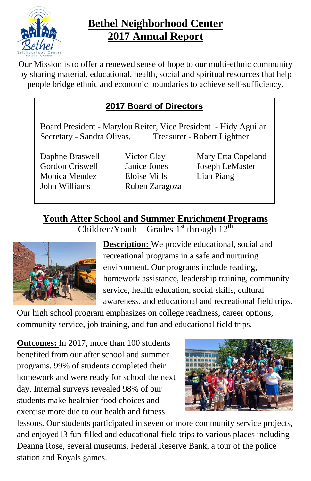

## **Bethel Neighborhood Center 2017 Annual Report**

Our Mission is to offer a renewed sense of hope to our multi-ethnic community by sharing material, educational, health, social and spiritual resources that help people bridge ethnic and economic boundaries to achieve self-sufficiency.

## **2017 Board of Directors**

Board President - Marylou Reiter, Vice President - Hidy Aguilar Secretary - Sandra Olivas, Treasurer - Robert Lightner,

Gordon Criswell Janice Jones Joseph LeMaster Monica Mendez Eloise Mills Lian Piang John Williams Ruben Zaragoza

Daphne Braswell Victor Clay Mary Etta Copeland

**Youth After School and Summer Enrichment Programs** Children/Youth – Grades  $1<sup>st</sup>$  through  $12<sup>th</sup>$ 



**Description:** We provide educational, social and recreational programs in a safe and nurturing environment. Our programs include reading, homework assistance, leadership training, community service, health education, social skills, cultural awareness, and educational and recreational field trips.

Our high school program emphasizes on college readiness, career options, community service, job training, and fun and educational field trips.

**Outcomes:** In 2017, more than 100 students benefited from our after school and summer programs. 99% of students completed their homework and were ready for school the next day. Internal surveys revealed 98% of our students make healthier food choices and exercise more due to our health and fitness



lessons. Our students participated in seven or more community service projects, and enjoyed13 fun-filled and educational field trips to various places including Deanna Rose, several museums, Federal Reserve Bank, a tour of the police station and Royals games.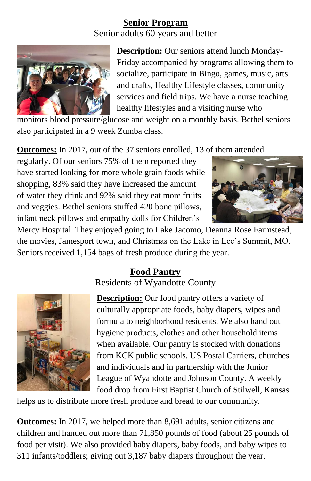#### **Senior Program**

Senior adults 60 years and better



**Description:** Our seniors attend lunch Monday-Friday accompanied by programs allowing them to socialize, participate in Bingo, games, music, arts and crafts, Healthy Lifestyle classes, community services and field trips. We have a nurse teaching healthy lifestyles and a visiting nurse who

monitors blood pressure/glucose and weight on a monthly basis. Bethel seniors also participated in a 9 week Zumba class.

**Outcomes:** In 2017, out of the 37 seniors enrolled, 13 of them attended

regularly. Of our seniors 75% of them reported they have started looking for more whole grain foods while shopping, 83% said they have increased the amount of water they drink and 92% said they eat more fruits and veggies. Bethel seniors stuffed 420 bone pillows, infant neck pillows and empathy dolls for Children's



Mercy Hospital. They enjoyed going to Lake Jacomo, Deanna Rose Farmstead, the movies, Jamesport town, and Christmas on the Lake in Lee's Summit, MO. Seniors received 1,154 bags of fresh produce during the year.

#### **Food Pantry** Residents of Wyandotte County



**Description:** Our food pantry offers a variety of culturally appropriate foods, baby diapers, wipes and formula to neighborhood residents. We also hand out hygiene products, clothes and other household items when available. Our pantry is stocked with donations from KCK public schools, US Postal Carriers, churches and individuals and in partnership with the Junior League of Wyandotte and Johnson County. A weekly food drop from First Baptist Church of Stilwell, Kansas

helps us to distribute more fresh produce and bread to our community.

**Outcomes:** In 2017, we helped more than 8,691 adults, senior citizens and children and handed out more than 71,850 pounds of food (about 25 pounds of food per visit). We also provided baby diapers, baby foods, and baby wipes to 311 infants/toddlers; giving out 3,187 baby diapers throughout the year.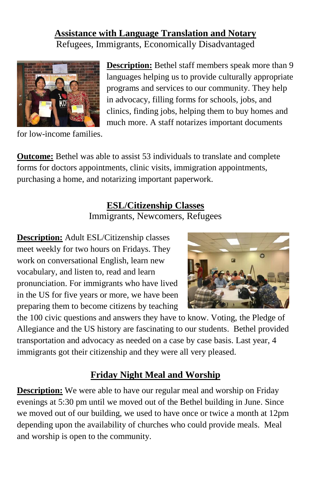#### **Assistance with Language Translation and Notary** Refugees, Immigrants, Economically Disadvantaged



**Description:** Bethel staff members speak more than 9 languages helping us to provide culturally appropriate programs and services to our community. They help in advocacy, filling forms for schools, jobs, and clinics, finding jobs, helping them to buy homes and much more. A staff notarizes important documents

for low-income families.

**Outcome:** Bethel was able to assist 53 individuals to translate and complete forms for doctors appointments, clinic visits, immigration appointments, purchasing a home, and notarizing important paperwork.

## **ESL/Citizenship Classes**

Immigrants, Newcomers, Refugees

**Description:** Adult ESL/Citizenship classes meet weekly for two hours on Fridays. They work on conversational English, learn new vocabulary, and listen to, read and learn pronunciation. For immigrants who have lived in the US for five years or more, we have been preparing them to become citizens by teaching



the 100 civic questions and answers they have to know. Voting, the Pledge of Allegiance and the US history are fascinating to our students. Bethel provided transportation and advocacy as needed on a case by case basis. Last year, 4 immigrants got their citizenship and they were all very pleased.

## **Friday Night Meal and Worship**

**Description:** We were able to have our regular meal and worship on Friday evenings at 5:30 pm until we moved out of the Bethel building in June. Since we moved out of our building, we used to have once or twice a month at 12pm depending upon the availability of churches who could provide meals. Meal and worship is open to the community.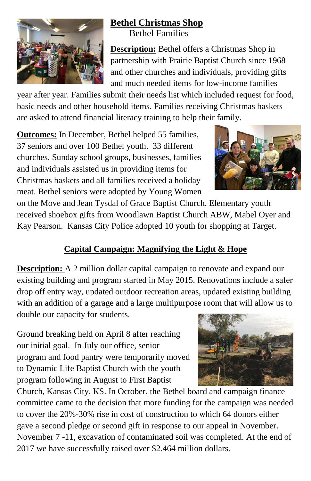

# **Bethel Christmas Shop**

Bethel Families

**Description:** Bethel offers a Christmas Shop in partnership with Prairie Baptist Church since 1968 and other churches and individuals, providing gifts and much needed items for low-income families

year after year. Families submit their needs list which included request for food, basic needs and other household items. Families receiving Christmas baskets are asked to attend financial literacy training to help their family.

**Outcomes:** In December, Bethel helped 55 families, 37 seniors and over 100 Bethel youth. 33 different churches, Sunday school groups, businesses, families and individuals assisted us in providing items for Christmas baskets and all families received a holiday meat. Bethel seniors were adopted by Young Women



on the Move and Jean Tysdal of Grace Baptist Church. Elementary youth received shoebox gifts from Woodlawn Baptist Church ABW, Mabel Oyer and Kay Pearson. Kansas City Police adopted 10 youth for shopping at Target.

## **Capital Campaign: Magnifying the Light & Hope**

**Description:** A 2 million dollar capital campaign to renovate and expand our existing building and program started in May 2015. Renovations include a safer drop off entry way, updated outdoor recreation areas, updated existing building with an addition of a garage and a large multipurpose room that will allow us to double our capacity for students.

Ground breaking held on April 8 after reaching our initial goal. In July our office, senior program and food pantry were temporarily moved to Dynamic Life Baptist Church with the youth program following in August to First Baptist

Church, Kansas City, KS. In October, the Bethel board and campaign finance committee came to the decision that more funding for the campaign was needed to cover the 20%-30% rise in cost of construction to which 64 donors either gave a second pledge or second gift in response to our appeal in November. November 7 -11, excavation of contaminated soil was completed. At the end of 2017 we have successfully raised over \$2.464 million dollars.

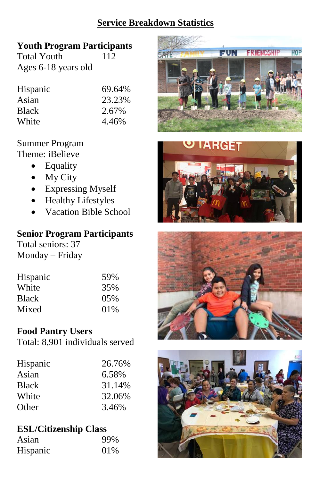## **Service Breakdown Statistics**

## **Youth Program Participants**

Total Youth 112 Ages 6-18 years old

| Hispanic     | 69.64% |
|--------------|--------|
| Asian        | 23.23% |
| <b>Black</b> | 2.67%  |
| White        | 4.46%  |

#### Summer Program

Theme: iBelieve

- Equality
- $\bullet$  My City
- Expressing Myself
- Healthy Lifestyles
- Vacation Bible School

#### **Senior Program Participants**

Total seniors: 37 Monday – Friday

| Hispanic     | 59% |
|--------------|-----|
| White        | 35% |
| <b>Black</b> | 05% |
| Mixed        | 01% |

#### **Food Pantry Users**

Total: 8,901 individuals served

| Hispanic     | 26.76% |
|--------------|--------|
| Asian        | 6.58%  |
| <b>Black</b> | 31.14% |
| White        | 32.06% |
| Other        | 3.46%  |

## **ESL/Citizenship Class**

| Asian    | 99% |
|----------|-----|
| Hispanic | 01% |







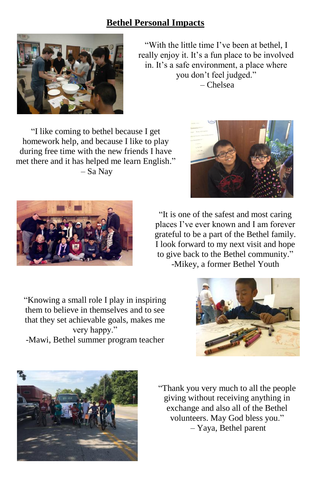#### **Bethel Personal Impacts**



"With the little time I've been at bethel, I really enjoy it. It's a fun place to be involved in. It's a safe environment, a place where you don't feel judged." – Chelsea

"I like coming to bethel because I get homework help, and because I like to play during free time with the new friends I have met there and it has helped me learn English." – Sa Nay





"It is one of the safest and most caring places I've ever known and I am forever grateful to be a part of the Bethel family. I look forward to my next visit and hope to give back to the Bethel community." -Mikey, a former Bethel Youth

"Knowing a small role I play in inspiring them to believe in themselves and to see that they set achievable goals, makes me very happy." -Mawi, Bethel summer program teacher





"Thank you very much to all the people giving without receiving anything in exchange and also all of the Bethel volunteers. May God bless you." – Yaya, Bethel parent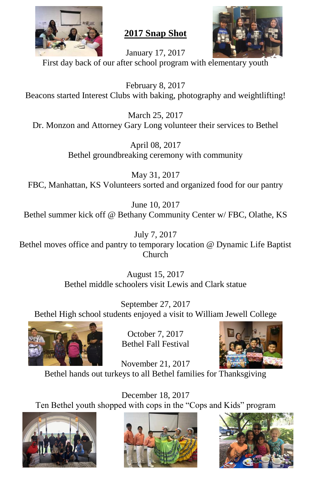

**2017 Snap Shot**



January 17, 2017 First day back of our after school program with elementary youth

February 8, 2017 Beacons started Interest Clubs with baking, photography and weightlifting!

March 25, 2017 Dr. Monzon and Attorney Gary Long volunteer their services to Bethel

> April 08, 2017 Bethel groundbreaking ceremony with community

May 31, 2017 FBC, Manhattan, KS Volunteers sorted and organized food for our pantry

June 10, 2017 Bethel summer kick off @ Bethany Community Center w/ FBC, Olathe, KS

July 7, 2017 Bethel moves office and pantry to temporary location @ Dynamic Life Baptist Church

> August 15, 2017 Bethel middle schoolers visit Lewis and Clark statue

September 27, 2017 Bethel High school students enjoyed a visit to William Jewell College



October 7, 2017 Bethel Fall Festival



November 21, 2017 Bethel hands out turkeys to all Bethel families for Thanksgiving

December 18, 2017 Ten Bethel youth shopped with cops in the "Cops and Kids" program